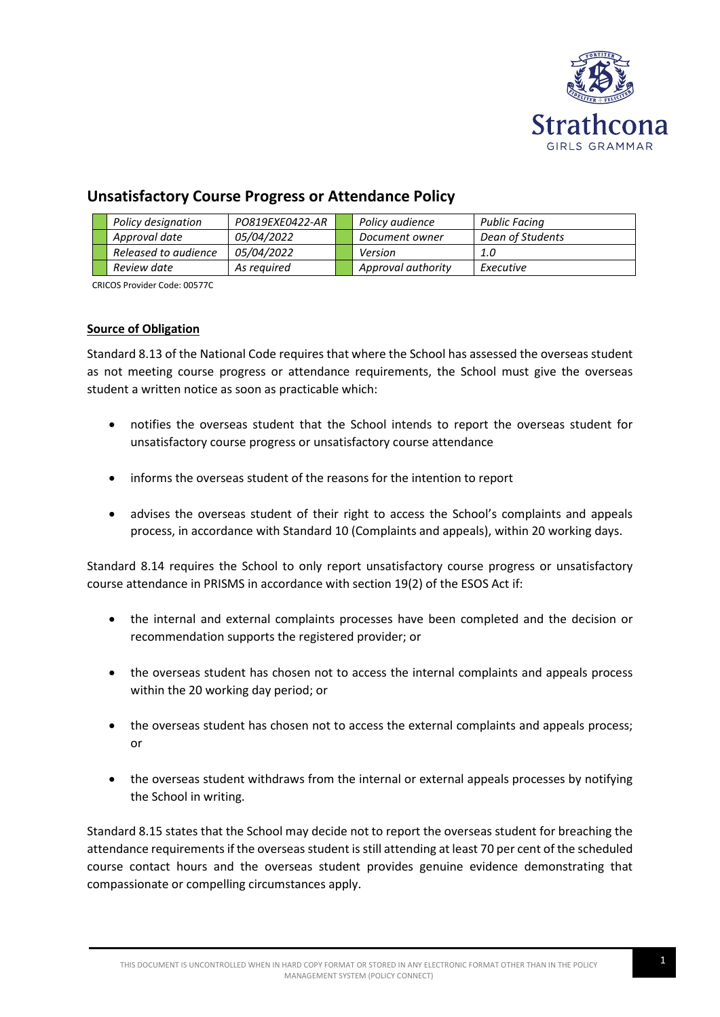

# **Unsatisfactory Course Progress or Attendance Policy**

|  | Policy designation   | PO819EXE0422-AR   | Policy audience    | Public Facing    |
|--|----------------------|-------------------|--------------------|------------------|
|  | Approval date        | <i>05/04/2022</i> | Document owner     | Dean of Students |
|  | Released to audience | <i>05/04/2022</i> | Version            | 1.0              |
|  | Review date          | As reauired       | Approval authority | Executive        |

CRICOS Provider Code: 00577C

## **Source of Obligation**

Standard 8.13 of the National Code requires that where the School has assessed the overseas student as not meeting course progress or attendance requirements, the School must give the overseas student a written notice as soon as practicable which:

- notifies the overseas student that the School intends to report the overseas student for unsatisfactory course progress or unsatisfactory course attendance
- informs the overseas student of the reasons for the intention to report
- advises the overseas student of their right to access the School's complaints and appeals process, in accordance with Standard 10 (Complaints and appeals), within 20 working days.

Standard 8.14 requires the School to only report unsatisfactory course progress or unsatisfactory course attendance in PRISMS in accordance with section 19(2) of the ESOS Act if:

- the internal and external complaints processes have been completed and the decision or recommendation supports the registered provider; or
- the overseas student has chosen not to access the internal complaints and appeals process within the 20 working day period; or
- the overseas student has chosen not to access the external complaints and appeals process; or
- the overseas student withdraws from the internal or external appeals processes by notifying the School in writing.

Standard 8.15 states that the School may decide not to report the overseas student for breaching the attendance requirements if the overseas student is still attending at least 70 per cent of the scheduled course contact hours and the overseas student provides genuine evidence demonstrating that compassionate or compelling circumstances apply.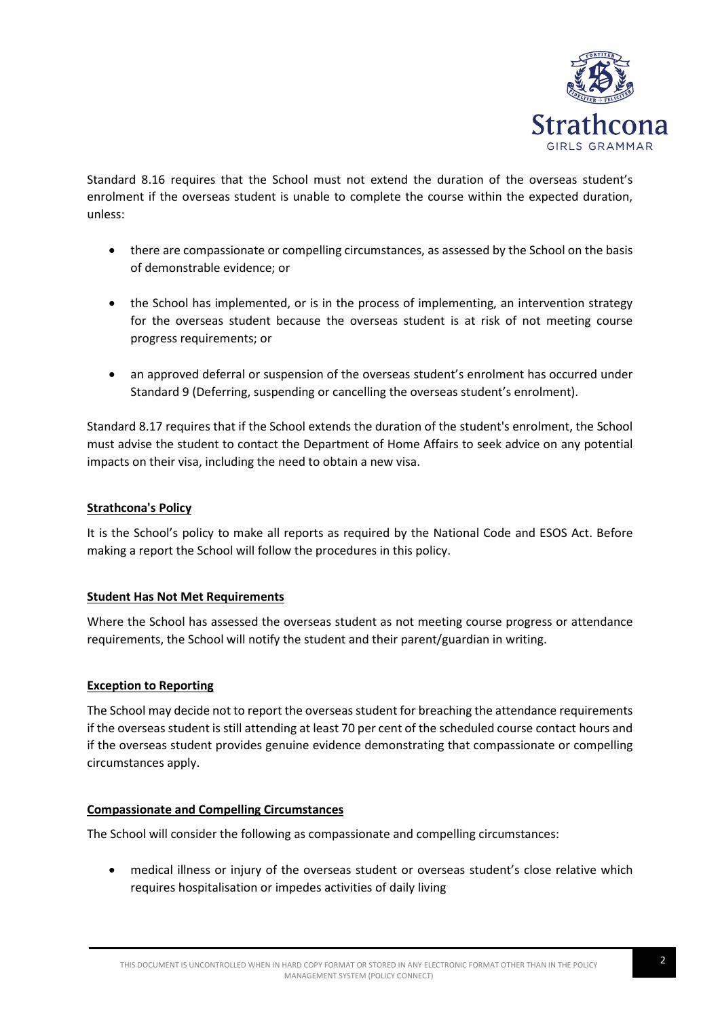

Standard 8.16 requires that the School must not extend the duration of the overseas student's enrolment if the overseas student is unable to complete the course within the expected duration, unless:

- there are compassionate or compelling circumstances, as assessed by the School on the basis of demonstrable evidence; or
- the School has implemented, or is in the process of implementing, an intervention strategy for the overseas student because the overseas student is at risk of not meeting course progress requirements; or
- an approved deferral or suspension of the overseas student's enrolment has occurred under Standard 9 (Deferring, suspending or cancelling the overseas student's enrolment).

Standard 8.17 requires that if the School extends the duration of the student's enrolment, the School must advise the student to contact the Department of Home Affairs to seek advice on any potential impacts on their visa, including the need to obtain a new visa.

## **Strathcona's Policy**

It is the School's policy to make all reports as required by the National Code and ESOS Act. Before making a report the School will follow the procedures in this policy.

#### **Student Has Not Met Requirements**

Where the School has assessed the overseas student as not meeting course progress or attendance requirements, the School will notify the student and their parent/guardian in writing.

# **Exception to Reporting**

The School may decide not to report the overseas student for breaching the attendance requirements if the overseas student is still attending at least 70 per cent of the scheduled course contact hours and if the overseas student provides genuine evidence demonstrating that compassionate or compelling circumstances apply.

#### **Compassionate and Compelling Circumstances**

The School will consider the following as compassionate and compelling circumstances:

• medical illness or injury of the overseas student or overseas student's close relative which requires hospitalisation or impedes activities of daily living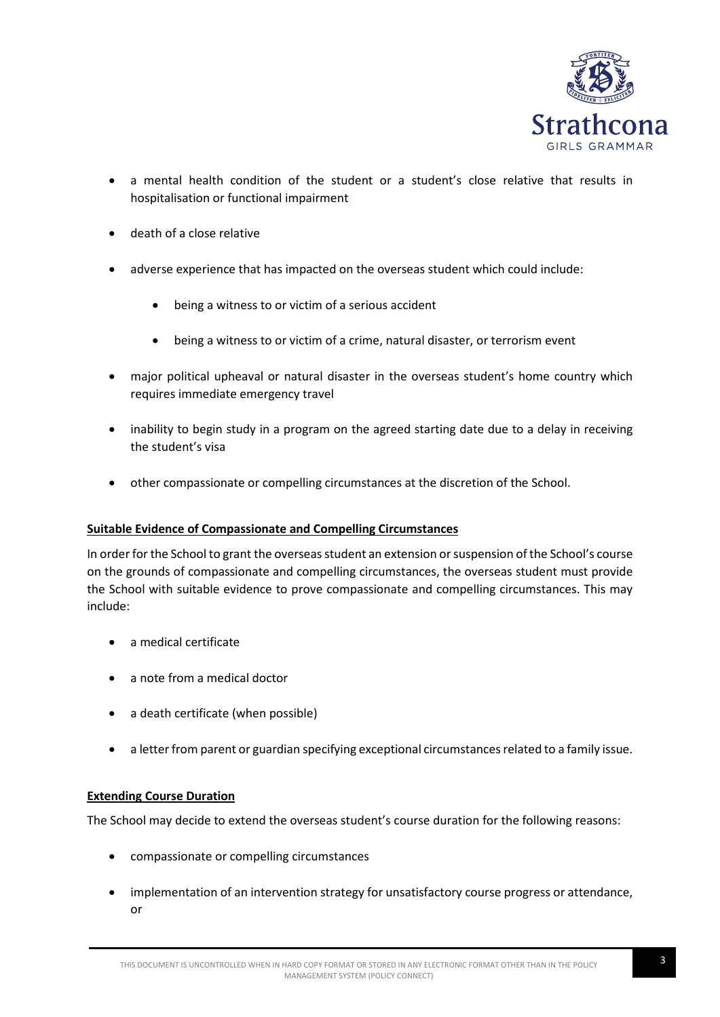

- a mental health condition of the student or a student's close relative that results in hospitalisation or functional impairment
- death of a close relative
- adverse experience that has impacted on the overseas student which could include:
	- being a witness to or victim of a serious accident
	- being a witness to or victim of a crime, natural disaster, or terrorism event
- major political upheaval or natural disaster in the overseas student's home country which requires immediate emergency travel
- inability to begin study in a program on the agreed starting date due to a delay in receiving the student's visa
- other compassionate or compelling circumstances at the discretion of the School.

# **Suitable Evidence of Compassionate and Compelling Circumstances**

In order for the School to grant the overseas student an extension or suspension of the School's course on the grounds of compassionate and compelling circumstances, the overseas student must provide the School with suitable evidence to prove compassionate and compelling circumstances. This may include:

- a medical certificate
- a note from a medical doctor
- a death certificate (when possible)
- a letter from parent or guardian specifying exceptional circumstances related to a family issue.

# **Extending Course Duration**

The School may decide to extend the overseas student's course duration for the following reasons:

- compassionate or compelling circumstances
- implementation of an intervention strategy for unsatisfactory course progress or attendance, or